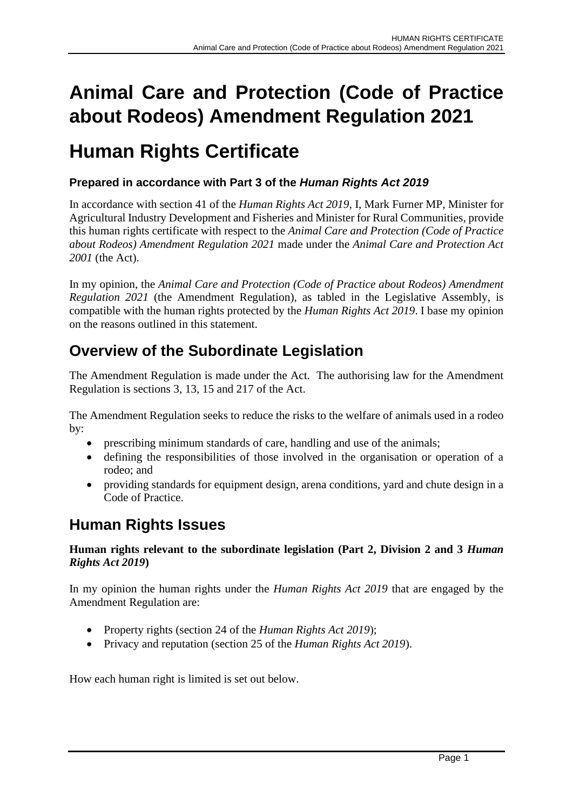## **Animal Care and Protection (Code of Practice about Rodeos) Amendment Regulation 2021**

# **Human Rights Certificate**

### **Prepared in accordance with Part 3 of the** *Human Rights Act 2019*

In accordance with section 41 of the *Human Rights Act 2019*, I, Mark Furner MP, Minister for Agricultural Industry Development and Fisheries and Minister for Rural Communities, provide this human rights certificate with respect to the *Animal Care and Protection (Code of Practice about Rodeos) Amendment Regulation 2021* made under the *Animal Care and Protection Act 2001* (the Act).

In my opinion, the *Animal Care and Protection (Code of Practice about Rodeos) Amendment Regulation 2021* (the Amendment Regulation)*,* as tabled in the Legislative Assembly, is compatible with the human rights protected by the *Human Rights Act 2019*. I base my opinion on the reasons outlined in this statement.

## **Overview of the Subordinate Legislation**

The Amendment Regulation is made under the Act. The authorising law for the Amendment Regulation is sections 3, 13, 15 and 217 of the Act.

The Amendment Regulation seeks to reduce the risks to the welfare of animals used in a rodeo by:

- prescribing minimum standards of care, handling and use of the animals;
- defining the responsibilities of those involved in the organisation or operation of a rodeo; and
- providing standards for equipment design, arena conditions, yard and chute design in a Code of Practice.

## **Human Rights Issues**

#### **Human rights relevant to the subordinate legislation (Part 2, Division 2 and 3** *Human Rights Act 2019***)**

In my opinion the human rights under the *Human Rights Act 2019* that are engaged by the Amendment Regulation are:

- Property rights (section 24 of the *Human Rights Act 2019*);
- Privacy and reputation (section 25 of the *Human Rights Act 2019*).

How each human right is limited is set out below.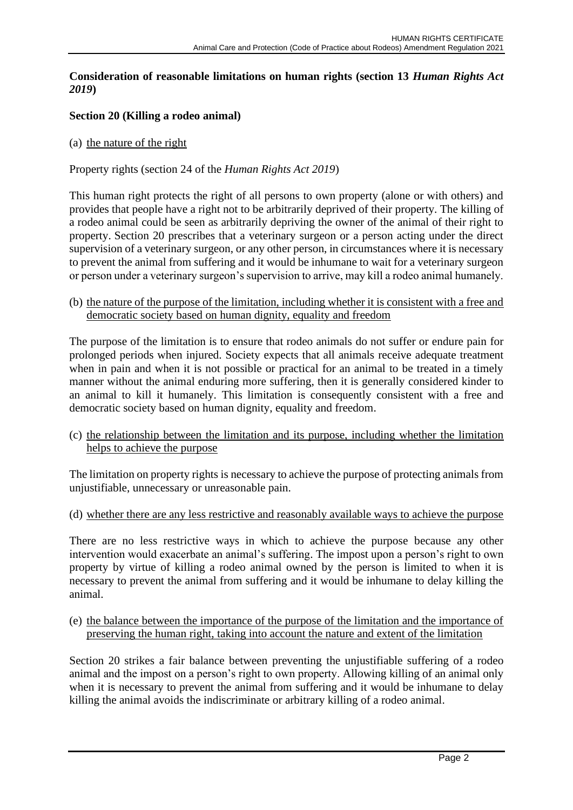#### **Consideration of reasonable limitations on human rights (section 13** *Human Rights Act 2019***)**

#### **Section 20 (Killing a rodeo animal)**

#### (a) the nature of the right

Property rights (section 24 of the *Human Rights Act 2019*)

This human right protects the right of all persons to own property (alone or with others) and provides that people have a right not to be arbitrarily deprived of their property. The killing of a rodeo animal could be seen as arbitrarily depriving the owner of the animal of their right to property. Section 20 prescribes that a veterinary surgeon or a person acting under the direct supervision of a veterinary surgeon, or any other person, in circumstances where it is necessary to prevent the animal from suffering and it would be inhumane to wait for a veterinary surgeon or person under a veterinary surgeon's supervision to arrive, may kill a rodeo animal humanely.

(b) the nature of the purpose of the limitation, including whether it is consistent with a free and democratic society based on human dignity, equality and freedom

The purpose of the limitation is to ensure that rodeo animals do not suffer or endure pain for prolonged periods when injured. Society expects that all animals receive adequate treatment when in pain and when it is not possible or practical for an animal to be treated in a timely manner without the animal enduring more suffering, then it is generally considered kinder to an animal to kill it humanely. This limitation is consequently consistent with a free and democratic society based on human dignity, equality and freedom.

(c) the relationship between the limitation and its purpose, including whether the limitation helps to achieve the purpose

The limitation on property rights is necessary to achieve the purpose of protecting animals from unjustifiable, unnecessary or unreasonable pain.

#### (d) whether there are any less restrictive and reasonably available ways to achieve the purpose

There are no less restrictive ways in which to achieve the purpose because any other intervention would exacerbate an animal's suffering. The impost upon a person's right to own property by virtue of killing a rodeo animal owned by the person is limited to when it is necessary to prevent the animal from suffering and it would be inhumane to delay killing the animal.

#### (e) the balance between the importance of the purpose of the limitation and the importance of preserving the human right, taking into account the nature and extent of the limitation

Section 20 strikes a fair balance between preventing the unjustifiable suffering of a rodeo animal and the impost on a person's right to own property. Allowing killing of an animal only when it is necessary to prevent the animal from suffering and it would be inhumane to delay killing the animal avoids the indiscriminate or arbitrary killing of a rodeo animal.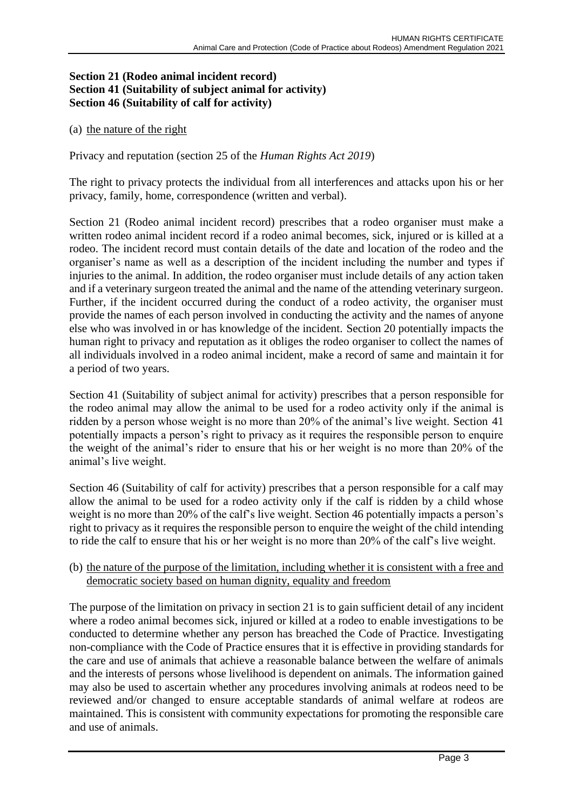#### **Section 21 (Rodeo animal incident record) Section 41 (Suitability of subject animal for activity) Section 46 (Suitability of calf for activity)**

#### (a) the nature of the right

Privacy and reputation (section 25 of the *Human Rights Act 2019*)

The right to privacy protects the individual from all interferences and attacks upon his or her privacy, family, home, correspondence (written and verbal).

Section 21 (Rodeo animal incident record) prescribes that a rodeo organiser must make a written rodeo animal incident record if a rodeo animal becomes, sick, injured or is killed at a rodeo. The incident record must contain details of the date and location of the rodeo and the organiser's name as well as a description of the incident including the number and types if injuries to the animal. In addition, the rodeo organiser must include details of any action taken and if a veterinary surgeon treated the animal and the name of the attending veterinary surgeon. Further, if the incident occurred during the conduct of a rodeo activity, the organiser must provide the names of each person involved in conducting the activity and the names of anyone else who was involved in or has knowledge of the incident. Section 20 potentially impacts the human right to privacy and reputation as it obliges the rodeo organiser to collect the names of all individuals involved in a rodeo animal incident, make a record of same and maintain it for a period of two years.

Section 41 (Suitability of subject animal for activity) prescribes that a person responsible for the rodeo animal may allow the animal to be used for a rodeo activity only if the animal is ridden by a person whose weight is no more than 20% of the animal's live weight. Section 41 potentially impacts a person's right to privacy as it requires the responsible person to enquire the weight of the animal's rider to ensure that his or her weight is no more than 20% of the animal's live weight.

Section 46 (Suitability of calf for activity) prescribes that a person responsible for a calf may allow the animal to be used for a rodeo activity only if the calf is ridden by a child whose weight is no more than 20% of the calf's live weight. Section 46 potentially impacts a person's right to privacy as it requires the responsible person to enquire the weight of the child intending to ride the calf to ensure that his or her weight is no more than 20% of the calf's live weight.

#### (b) the nature of the purpose of the limitation, including whether it is consistent with a free and democratic society based on human dignity, equality and freedom

The purpose of the limitation on privacy in section 21 is to gain sufficient detail of any incident where a rodeo animal becomes sick, injured or killed at a rodeo to enable investigations to be conducted to determine whether any person has breached the Code of Practice. Investigating non-compliance with the Code of Practice ensures that it is effective in providing standards for the care and use of animals that achieve a reasonable balance between the welfare of animals and the interests of persons whose livelihood is dependent on animals. The information gained may also be used to ascertain whether any procedures involving animals at rodeos need to be reviewed and/or changed to ensure acceptable standards of animal welfare at rodeos are maintained. This is consistent with community expectations for promoting the responsible care and use of animals.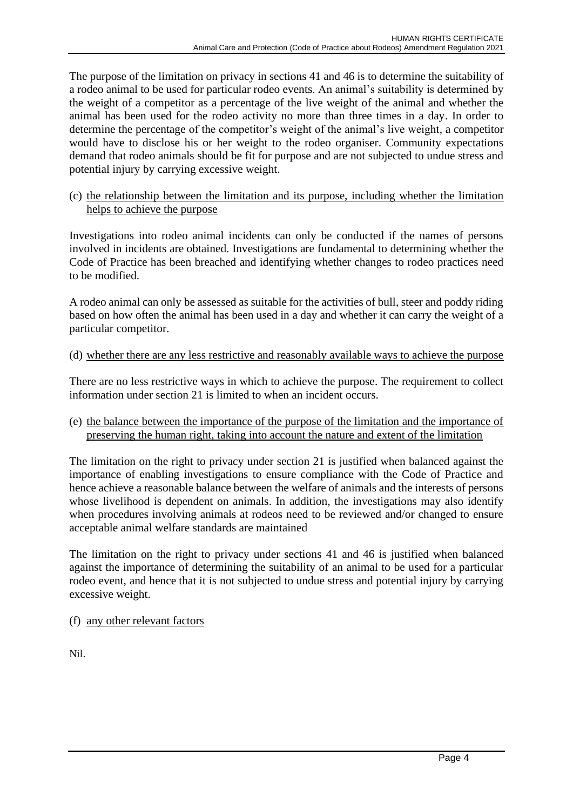The purpose of the limitation on privacy in sections 41 and 46 is to determine the suitability of a rodeo animal to be used for particular rodeo events. An animal's suitability is determined by the weight of a competitor as a percentage of the live weight of the animal and whether the animal has been used for the rodeo activity no more than three times in a day. In order to determine the percentage of the competitor's weight of the animal's live weight, a competitor would have to disclose his or her weight to the rodeo organiser. Community expectations demand that rodeo animals should be fit for purpose and are not subjected to undue stress and potential injury by carrying excessive weight.

(c) the relationship between the limitation and its purpose, including whether the limitation helps to achieve the purpose

Investigations into rodeo animal incidents can only be conducted if the names of persons involved in incidents are obtained. Investigations are fundamental to determining whether the Code of Practice has been breached and identifying whether changes to rodeo practices need to be modified.

A rodeo animal can only be assessed as suitable for the activities of bull, steer and poddy riding based on how often the animal has been used in a day and whether it can carry the weight of a particular competitor.

#### (d) whether there are any less restrictive and reasonably available ways to achieve the purpose

There are no less restrictive ways in which to achieve the purpose. The requirement to collect information under section 21 is limited to when an incident occurs.

(e) the balance between the importance of the purpose of the limitation and the importance of preserving the human right, taking into account the nature and extent of the limitation

The limitation on the right to privacy under section 21 is justified when balanced against the importance of enabling investigations to ensure compliance with the Code of Practice and hence achieve a reasonable balance between the welfare of animals and the interests of persons whose livelihood is dependent on animals. In addition, the investigations may also identify when procedures involving animals at rodeos need to be reviewed and/or changed to ensure acceptable animal welfare standards are maintained

The limitation on the right to privacy under sections 41 and 46 is justified when balanced against the importance of determining the suitability of an animal to be used for a particular rodeo event, and hence that it is not subjected to undue stress and potential injury by carrying excessive weight.

(f) any other relevant factors

Nil.